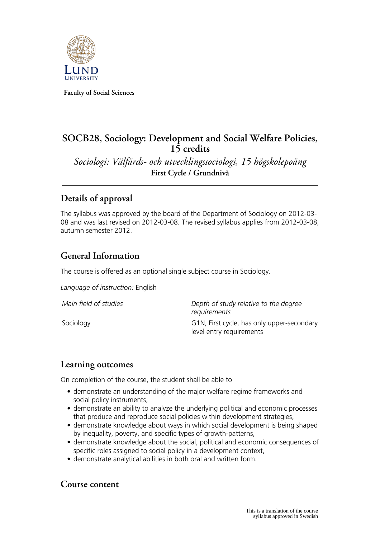

**Faculty of Social Sciences**

## **SOCB28, Sociology: Development and Social Welfare Policies, 15 credits**

*Sociologi: Välfärds- och utvecklingssociologi, 15 högskolepoäng* **First Cycle / Grundnivå**

# **Details of approval**

The syllabus was approved by the board of the Department of Sociology on 2012-03- 08 and was last revised on 2012-03-08. The revised syllabus applies from 2012-03-08, autumn semester 2012.

## **General Information**

The course is offered as an optional single subject course in Sociology.

*Language of instruction:* English

*Main field of studies Depth of study relative to the degree requirements* Sociology G1N, First cycle, has only upper-secondary level entry requirements

### **Learning outcomes**

On completion of the course, the student shall be able to

- demonstrate an understanding of the major welfare regime frameworks and social policy instruments,
- demonstrate an ability to analyze the underlying political and economic processes that produce and reproduce social policies within development strategies,
- demonstrate knowledge about ways in which social development is being shaped by inequality, poverty, and specific types of growth-patterns,
- demonstrate knowledge about the social, political and economic consequences of specific roles assigned to social policy in a development context,
- demonstrate analytical abilities in both oral and written form.

#### **Course content**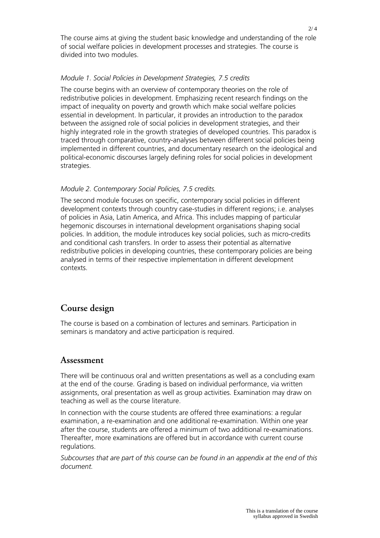The course aims at giving the student basic knowledge and understanding of the role of social welfare policies in development processes and strategies. The course is divided into two modules.

#### *Module 1. Social Policies in Development Strategies, 7.5 credits*

The course begins with an overview of contemporary theories on the role of redistributive policies in development. Emphasizing recent research findings on the impact of inequality on poverty and growth which make social welfare policies essential in development. In particular, it provides an introduction to the paradox between the assigned role of social policies in development strategies, and their highly integrated role in the growth strategies of developed countries. This paradox is traced through comparative, country-analyses between different social policies being implemented in different countries, and documentary research on the ideological and political-economic discourses largely defining roles for social policies in development strategies.

#### *Module 2. Contemporary Social Policies, 7.5 credits.*

The second module focuses on specific, contemporary social policies in different development contexts through country case-studies in different regions; i.e. analyses of policies in Asia, Latin America, and Africa. This includes mapping of particular hegemonic discourses in international development organisations shaping social policies. In addition, the module introduces key social policies, such as micro-credits and conditional cash transfers. In order to assess their potential as alternative redistributive policies in developing countries, these contemporary policies are being analysed in terms of their respective implementation in different development contexts.

### **Course design**

The course is based on a combination of lectures and seminars. Participation in seminars is mandatory and active participation is required.

#### **Assessment**

There will be continuous oral and written presentations as well as a concluding exam at the end of the course. Grading is based on individual performance, via written assignments, oral presentation as well as group activities. Examination may draw on teaching as well as the course literature.

In connection with the course students are offered three examinations: a regular examination, a re-examination and one additional re-examination. Within one year after the course, students are offered a minimum of two additional re-examinations. Thereafter, more examinations are offered but in accordance with current course regulations.

*Subcourses that are part of this course can be found in an appendix at the end of this document.*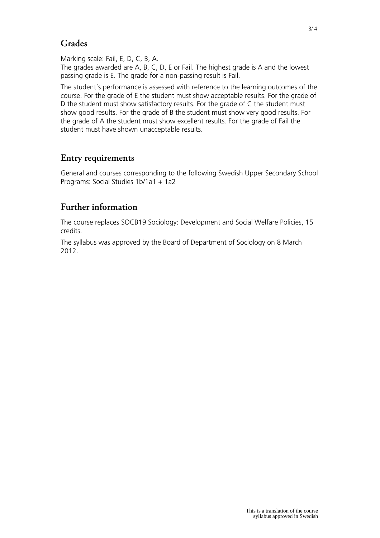# **Grades**

Marking scale: Fail, E, D, C, B, A.

The grades awarded are A, B, C, D, E or Fail. The highest grade is A and the lowest passing grade is E. The grade for a non-passing result is Fail.

The student's performance is assessed with reference to the learning outcomes of the course. For the grade of E the student must show acceptable results. For the grade of D the student must show satisfactory results. For the grade of C the student must show good results. For the grade of B the student must show very good results. For the grade of A the student must show excellent results. For the grade of Fail the student must have shown unacceptable results.

# **Entry requirements**

General and courses corresponding to the following Swedish Upper Secondary School Programs: Social Studies 1b/1a1 + 1a2

# **Further information**

The course replaces SOCB19 Sociology: Development and Social Welfare Policies, 15 credits.

The syllabus was approved by the Board of Department of Sociology on 8 March 2012.